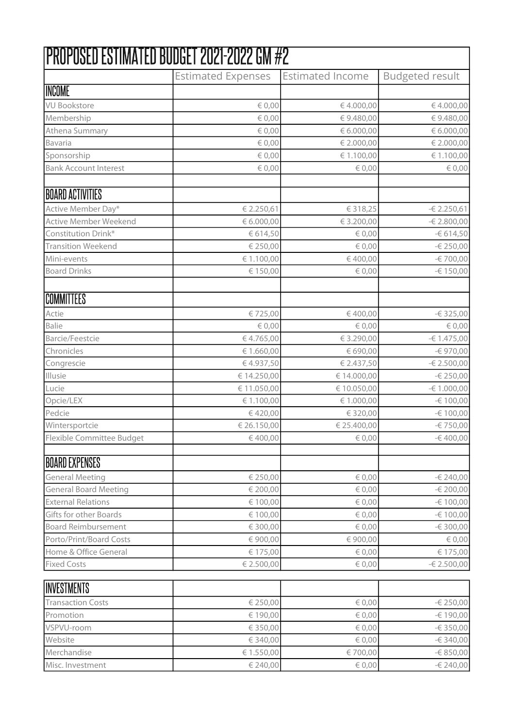|                                  | PROPOSED ESTIMATED BUDGET 2021-2022 GM #2 |                         |                        |
|----------------------------------|-------------------------------------------|-------------------------|------------------------|
|                                  | <b>Estimated Expenses</b>                 | <b>Estimated Income</b> | <b>Budgeted result</b> |
| INCOME                           |                                           |                         |                        |
| <b>VU Bookstore</b>              | € 0,00                                    | €4.000,00               | € 4.000,00             |
| Membership                       | € 0,00                                    | €9.480,00               | €9.480,00              |
| Athena Summary                   | $\in 0,00$                                | € 6.000,00              | € 6.000,00             |
| Bavaria                          | $\in 0,00$                                | € 2.000,00              | € 2.000,00             |
| Sponsorship                      | $\in 0,00$                                | € 1.100,00              | € 1.100,00             |
| <b>Bank Account Interest</b>     | $\in 0,00$                                | $\in 0,00$              | $\in 0,00$             |
| BOARD ACTIVITIES                 |                                           |                         |                        |
| Active Member Day*               | € 2.250,61                                | €318,25                 | $-62.250,61$           |
| Active Member Weekend            | € 6.000,00                                | € 3.200,00              | $-62.800,00$           |
| Constitution Drink*              | € 614,50                                  | $\epsilon$ 0,00         | $-6614,50$             |
| <b>Transition Weekend</b>        | € 250,00                                  | $\in 0,00$              | -€ 250,00              |
| Mini-events                      | € 1.100,00                                | €400,00                 | -€ 700,00              |
| <b>Board Drinks</b>              | € 150,00                                  | $\in 0,00$              | $-6150,00$             |
| COMMITTEES                       |                                           |                         |                        |
| Actie                            | €725,00                                   | €400,00                 | $-6325,00$             |
| Balie                            | $\in 0,00$                                | $\in 0,00$              | $\in 0,00$             |
| Barcie/Feestcie                  | €4.765,00                                 | € 3.290,00              | $-61.475,00$           |
| Chronicles                       | € 1.660,00                                | € 690,00                | -€ 970,00              |
| Congrescie                       | €4.937,50                                 | € 2.437,50              | $-62.500,00$           |
| Illusie                          | € 14.250,00                               | €14.000,00              | -€ 250,00              |
| Lucie                            | € 11.050,00                               | € 10.050,00             | $-61.000,00$           |
| Opcie/LEX                        | € 1.100,00                                | € 1.000,00              | -€ 100,00              |
| Pedcie                           | €420,00                                   | € 320,00                | -€ 100,00              |
| Wintersportcie                   | € 26.150,00                               | € 25.400,00             | -€ 750,00              |
| <b>Flexible Committee Budget</b> | €400,00                                   | € 0,00                  | $-6400,00$             |
| BOARD EXPENSES                   |                                           |                         |                        |
| <b>General Meeting</b>           | € 250,00                                  | $\in 0,00$              | -€ 240,00              |
| <b>General Board Meeting</b>     | € 200,00                                  | $\epsilon$ 0,00         | $-\epsilon$ 200,00     |
| <b>External Relations</b>        | € 100,00                                  | $\epsilon$ 0,00         | -€ 100,00              |
| Gifts for other Boards           | € 100,00                                  | $\epsilon$ 0,00         | -€ 100,00              |
| <b>Board Reimbursement</b>       | €300,00                                   | $\in 0,00$              | -€ 300,00              |
| Porto/Print/Board Costs          | €900,00                                   | €900,00                 | $\in 0,00$             |
| Home & Office General            | € 175,00                                  | $\epsilon$ 0,00         | € 175,00               |
| <b>Fixed Costs</b>               | € 2.500,00                                | $\epsilon$ 0,00         | $-62.500,00$           |
| INVESTMENTS                      |                                           |                         |                        |
| <b>Transaction Costs</b>         | € 250,00                                  | $\epsilon$ 0,00         | $-6250,00$             |
| Promotion                        | € 190,00                                  | $\epsilon$ 0,00         | -€ 190,00              |
| VSPVU-room                       | € 350,00                                  | $\epsilon$ 0,00         | $-6350,00$             |
| Website                          | €340,00                                   | $\in 0,00$              | $-6340,00$             |
| Merchandise                      | € 1.550,00                                | €700,00                 | -€ 850,00              |
| Misc. Investment                 | € 240,00                                  | $\in 0,00$              | -€ 240,00              |